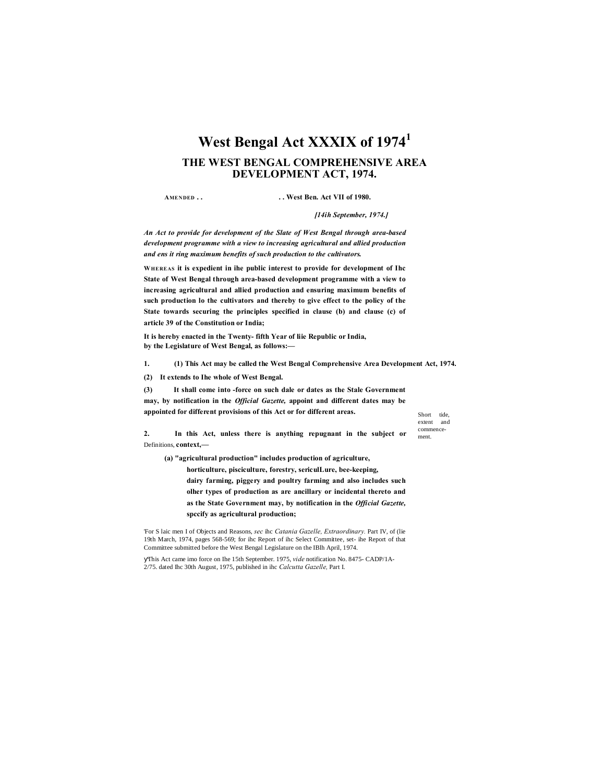# **West Bengal Act XXXIX of 1974<sup>1</sup> THE WEST BENGAL COMPREHENSIVE AREA DEVELOPMENT ACT, 1974.**

**AMENDED . . . . West Ben. Act VII of 1980.**

*[14ih September, 1974.]*

*An Act to provide for development of the Slate of West Bengal through area-based development programme with a view to increasing agricultural and allied production and ens it ring maximum benefits of such production to the cultivators.*

**WHEREAS it is expedient in ihe public interest to provide for development of Ihc State of West Bengal through area-based development programme with a view to increasing agricultural and allied production and ensuring maximum benefits of such production lo the cultivators and thereby to give effect to the policy of the State towards securing the principles specified in clause (b) and clause (c) of article 39 of the Constitution or India;**

**It is hereby enacted in the Twenty- fifth Year of liie Republic or India, by the Legislature of West Bengal, as follows:—**

**1. (1) This Act may be called the West Bengal Comprehensive Area Development Act, 1974.**

**(2) It extends to Ihe whole of West Bengal.**

**(3) It shall come into -force on such dale or dates as the Stale Government may, by notification in the** *Official Gazette,* **appoint and different dates may be appointed for different provisions of this Act or for different areas.**

Short tide extent and commence-

ment.

**2. In this Act, unless there is anything repugnant in the subject or** Definitions, **context,—**

**(a) "agricultural production" includes production of agriculture,**

**horticulture, pisciculture, forestry, sericulLure, bee-keeping,**

**dairy farming, piggery and poultry farming and also includes such olher types of production as are ancillary or incidental thereto and as the State Government may, by notification in the** *Official Gazette,* **spccify as agricultural production;**

'For S laic men I of Objects and Reasons, *sec* ihc *Catania Gazelle, Extraordinary.* Part IV, of (lie 19th March, 1974, pages 568-569; for ihc Report of ihc Select Committee, set- ihe Report of that Committee submitted before the West Bengal Legislature on the IBlh April, 1974.

This Act came imo force on Ihe 15th September. 1975, *vide* notification No. 8475- CADP/1A-2/75. dated Ihc 30th August, 1975, published in ihc *Calcutta Gazelle,* Part I.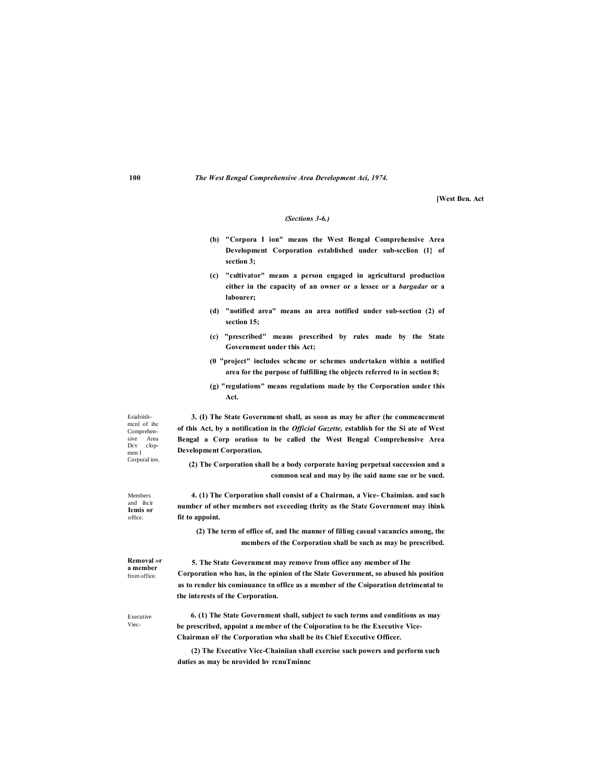**[West Ben. Act**

#### *(Sections 3-6.)*

- **(b) "Corpora I ion" means the West Bengal Comprehensive Area Development Corporation established under sub-scclion (1} of section 3;**
- **(c) "cultivator" means a person engaged in agricultural production either in the capacity of an owner or a lessee or a** *bargadar* **or a labourer;**
- **(d) "notified area" means an area notified under sub-section (2) of section 15;**
- **(c) "prescribed" means prescribed by rules made by the State Government under this Act;**
- **(0 "project" includes schcme or schemes undertaken within a notified area for the purpose of fulfilling the objects referred to in section 8;**
- **(g) "regulations" means regulations made by the Corporation under this Act.**

Esiabiishmcnl of ihc Comprehen-<br>sive Area Area Dcv clopmen I Corporal ion.

**3. (I) The State Government shall, as soon as may be after (he commencement of this Act, by a notification in the** *Official Gazette,* **establish for the Si ate of West Bengal a Corp oration to be called the West Bengal Comprehensive Area Development Corporation.**

**(2) The Corporation shall be a body corporate having perpetual succession and a common seal and may by ihe said name sue or be sued.**

Members and ihcir **Icmis or**  office.

**4. (1) The Corporation shall consist of a Chairman, a Vice- Chaimian. and such number of other members not exceeding thrity as the State Government may ihink fit to appoint.**

**(2) The term of office of, and Ihc manner of filling casual vacancics among, the members of the Corporation shall be such as may be prescribed.**

**Removal »r a member**  from office.

**5. The State Government may remove from office any member of Ihe Corporation who has, in the opinion of the Slate Government, so abused his position as to render his cominuance tn office as a member of the Coiporation detrimental to the interests of the Corporation.**

Executive Viec-

**6. (1) The State Government shall, subject to such terms and conditions as may be prescribed, appoint a member of the Coiporation to be the Executive Vice-Chairman oF the Corporation who shall be its Chief Executive Officer.**

**(2) The Executive Vicc-Chainiian shall exercise such powers and perform such duties as may be nrovided hv rcnuTminnc**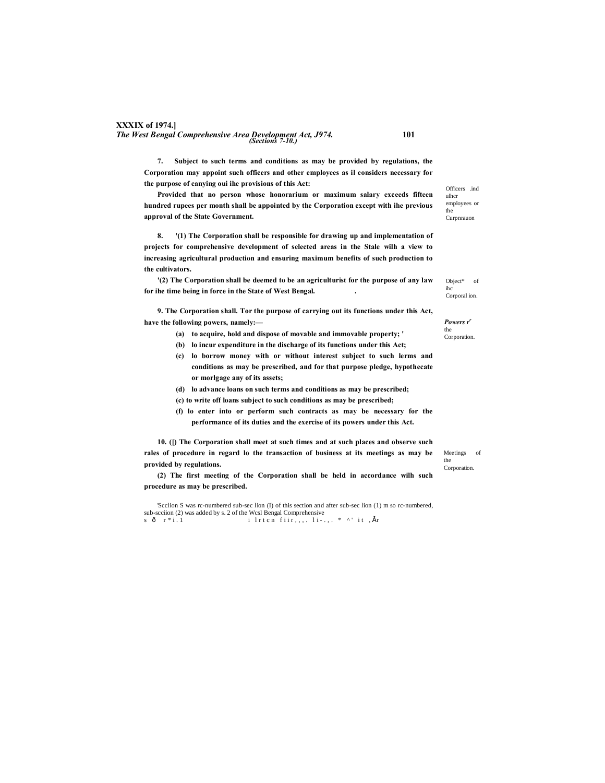# **XXXIX of 1974.]** *The West Bengal Comprehensive Area Development Act, J974.* **101** *(Sections 7-10.)*

**7. Subject to such terms and conditions as may be provided by regulations, the Corporation may appoint such officers and other employees as il considers necessary for the purpose of canying oui ihe provisions of this Act:**

**Provided that no person whose honorarium or maximum salary exceeds fifteen hundred rupees per month shall be appointed by the Corporation except with ihe previous approval of the State Government.**

**8. '(1) The Corporation shall be responsible for drawing up and implementation of projects for comprehensive development of selected areas in the Stale wilh a view to increasing agricultural production and ensuring maximum benefits of such production to the cultivators.**

**'(2) The Corporation shall be deemed to be an agriculturist for the purpose of any law for ihe time being in force in the State of West Bengal. .**

**9. The Corporation shall. Tor the purpose of carrying out its functions under this Act, have the following powers, namely:—**

- **(a) to acquire, hold and dispose of movable and immovable property; '**
- **(b) lo incur expenditure in the discharge of its functions under this Act;**
- **(c) lo borrow money with or without interest subject to such lerms and conditions as may be prescribed, and for that purpose pledge, hypothecate or morlgage any of its assets;**
- **(d) lo advance loans on such terms and conditions as may be prescribed;**
- **(c) to write off loans subject to such conditions as may be prescribed;**
- **(f) lo enter into or perform such contracts as may be necessary for the performance of its duties and the exercise of its powers under this Act.**

**10. ([) The Corporation shall meet at such times and at such places and observe such rales of procedure in regard lo the transaction of business at its meetings as may be provided by regulations.**

**(2) The first meeting of the Corporation shall be held in accordance wilh such procedure as may be prescribed.**

'Scclion S was rc-numbered sub-sec lion (I) of this section and after sub-sec lion (1) m so rc-numbered, sub-scciion (2) was added by s. 2 of the Wcsl Bengal Comprehensive<br>s  $\hat{0}$  r \* i . 1 i  $\hat{t}$  i r t c n fiir,,,, l i - . , . \* ^' i t , š r

Officers .ind ulhcr employees or the Curpnrauon

Object\* of ihc Corporal ion.

Powers r' the Corporation.

Meetings of the Corporation.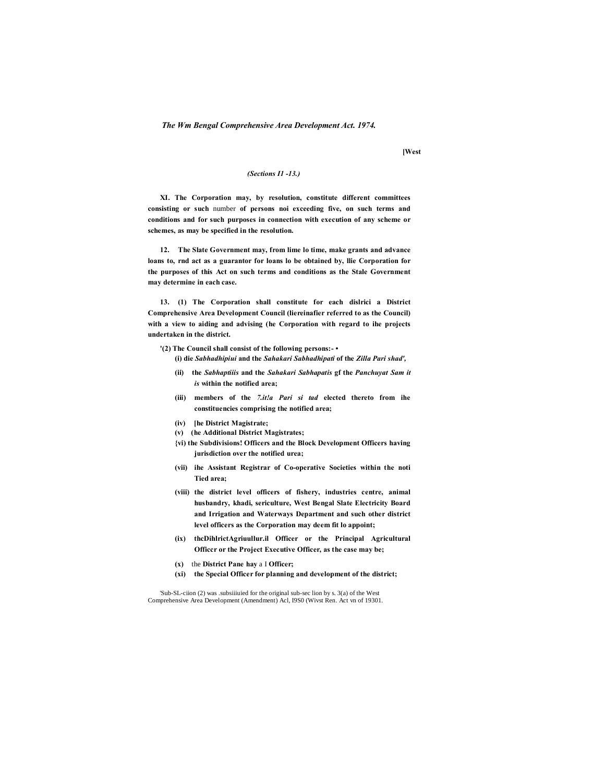**[West**

#### *(Sections I1 -13.)*

**XI. The Corporation may, by resolution, constitute different committees consisting or such** number **of persons noi exceeding five, on such terms and conditions and for such purposes in connection with execution of any scheme or schemes, as may be specified in the resolution.**

**12. The Slate Government may, from lime lo time, make grants and advance loans to, rnd act as a guarantor for loans lo be obtained by, llie Corporation for the purposes of this Act on such terms and conditions as the Stale Government may determine in each case.**

**13. (1) The Corporation shall constitute for each dislrici a District Comprehensive Area Development Council (liereinafier referred to as the Council) with a view to aiding and advising (he Corporation with regard to ihe projects undertaken in the district.**

**'(2) The Council shall consist of the following persons:- •**

**(i) die** *Sabhadhipiui* **and the** *Sahakari Sabhadhipati* **of the** *Zilla Pari shad',*

- **(ii) the** *Sabhaptiiis* **and the** *Sahakari Sabhapatis* **gf the** *Panchuyat Sam it is* **within the notified area;**
- **(iii) members of the** *7.it!a Pari si tad* **elected thereto from ihe constituencies comprising the notified area;**
- **(iv) [he District Magistrate;**
- **(v) (he Additional District Magistrates;**
- **{vi) the Subdivisions! Officers and the Block Development Officers having jurisdiction over the notified urea;**
- **(vii) ihe Assistant Registrar of Co-operative Societies within the noti Tied area;**
- **(viii) the district level officers of fishery, industries centre, animal husbandry, khadi, sericulture, West Bengal Slate Electricity Board and Irrigation and Waterways Department and such other district level officers as the Corporation may deem fit lo appoint;**
- **(ix) thcDihlrictAgriuullur.il Officer or the Principal Agricultural Officcr or the Project Executive Officer, as the case may be;**
- **(x)** the **District Pane hay** a I **Officer;**
- **(xi) the Special Officer for planning and development of the district;**

'Sub-SL-ciion (2) was .subsiiiuied for the original sub-sec lion by s. 3(a) of the West Comprehensive Area Development (Amendment) Acl, I9S0 (Wivst Ren. Act vn of 19301.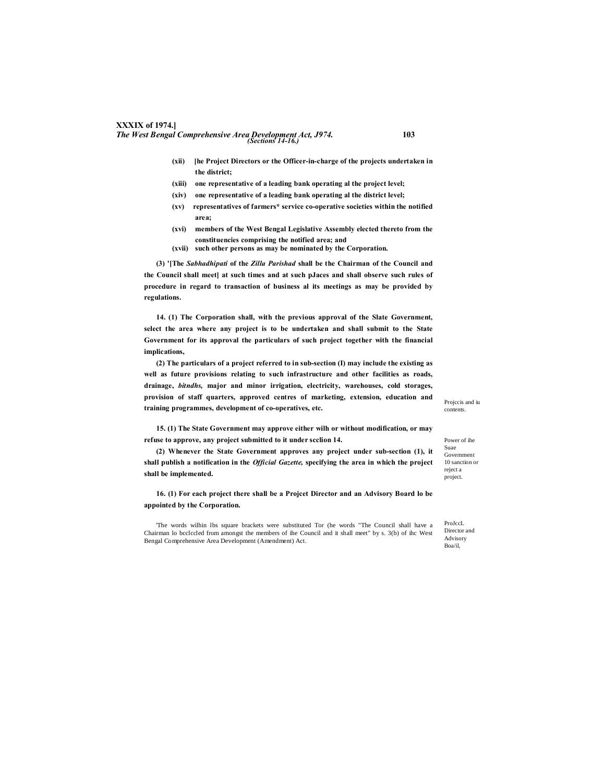# **XXXIX of 1974.]** *The West Bengal Comprehensive Area Development Act, J974.* **103** *(Sections 14-16.)*

- **(xii) [he Project Directors or the Officer-in-charge of the projects undertaken in the district;**
- **(xiii) one representative of a leading bank operating al the project level;**
- **(xiv) one representative of a leading bank operating al the district level;**
- **(xv) representatives of farmers\* service co-operative societies within the notified area;**
- **(xvi) members of the West Bengal Legislative Assembly elected thereto from the constituencies comprising the notified area; and**
- **(xvii) such other persons as may be nominated by the Corporation.**

**(3) '[The** *Sabhadhipati* **of the** *Zilla Parishad* **shall be the Chairman of the Council and the Council shall meet] at such times and at such pJaces and shall observe such rules of procedure in regard to transaction of business al its meetings as may be provided by regulations.**

**14. (1) The Corporation shall, with the previous approval of the Slate Government, select the area where any project is to be undertaken and shall submit to the State Government for its approval the particulars of such project together with the financial implications,**

**(2) The particulars of a project referred to in sub-section (I) may include the existing as well as future provisions relating to such infrastructure and other facilities as roads, drainage,** *bitndhs,* **major and minor irrigation, electricity, warehouses, cold storages, provision of staff quarters, approved centres of marketing, extension, education and training programmes, development of co-operatives, etc.**

**15. (1) The State Government may approve either wilh or without modification, or may refuse to approve, any project submitted to it under scclion 14.**

**(2) Whenever the State Government approves any project under sub-section (1), it shall publish a notification in the** *Official Gazette,* **specifying the area in which the project shall be implemented.**

**16. (1) For each project there shall be a Projcet Director and an Advisory Board lo be appointed by the Corporation.**

'The words wilhin lbs square brackets were substituted Tor (he words "The Council shall have a Chairman lo bcclccled from amongst the members of ihe Council and it shall meet" by s. 3(b) of ihc West Bengal Comprehensive Area Development (Amendment) Act.

Projccis and iu contents.

Power of ihe Suae Government 10 sanction or reject a project.

ProJccL Director and Advisory Boa/il,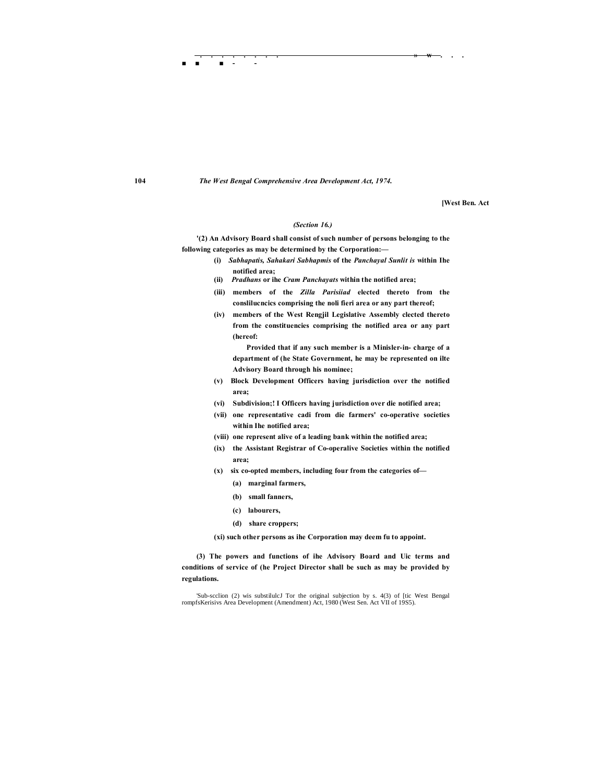**■ ■ ■ - -**

**[West Ben. Act**

#### *(Section 16.)*

**'(2) An Advisory Board shall consist of such number of persons belonging to the following categories as may be determined by the Corporation:—**

> **(i)** *Sabhapatis, Sahakari Sabhapmis* **of the** *Panchayal Sunlit is* **within Ihe notified area;**

**. . . . . . . . » w . . .** 

- **(ii)** *Pradhans* **or ihe** *Cram Panchayats* **within the notified area;**
- **(iii) members of the** *Zilla Parisiiad* **elected thereto from the conslilucncics comprising the noli fieri area or any part thereof;**
- **(iv) members of the West Rengjil Legislative Assembly clected thereto from the constituencies comprising the notified area or any part (hereof:**

**Provided that if any such member is a Minisler-in- charge of a department of (he State Government, he may be represented on ilte Advisory Board through his nominee;**

- **(v) Block Development Officers having jurisdiction over the notified area;**
- **(vi) Subdivision;! I Officers having jurisdiction over die notified area;**
- **(vii) one representative cadi from die farmers' co-operative societies within Ihe notified area;**
- **(viii) one represent alive of a leading bank within the notified area;**
- **(ix) the Assistant Registrar of Co-operalive Societies within the notified area;**
- **(x) six co-opted members, including four from the categories of—**
	- **(a) marginal farmers,**
	- **(b) small fanners,**
	- **(c) labourers,**
	- **(d) share croppers;**

**(xi) such other persons as ihe Corporation may deem fu to appoint.**

**(3) The powers and functions of ihe Advisory Board and Uic terms and conditions of service of (he Project Director shall be such as may be provided by regulations.**

'Sub-scclion (2) wis substilulcJ Tor the original subjection by s. 4(3) of [tic West Bengal rompfsKerisivs Area Development (Amendment) Act, 1980 (West Sen. Act VII of 19S5).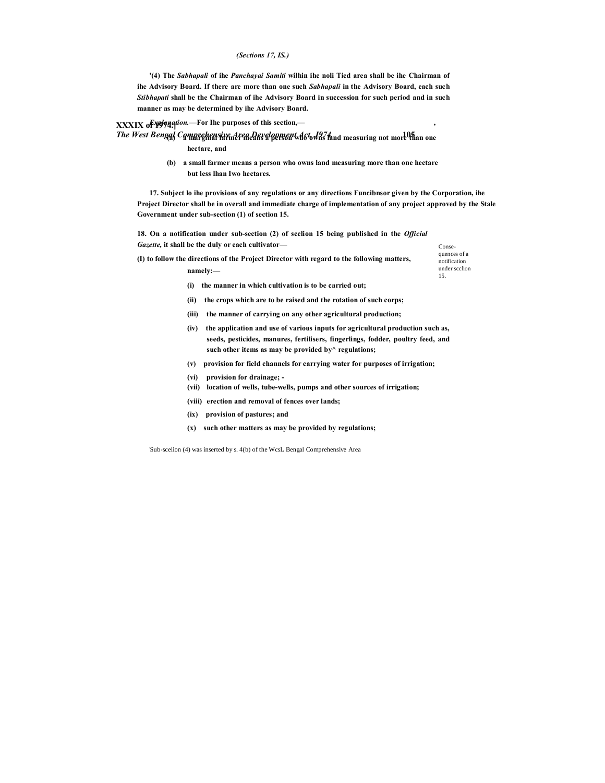#### *(Sections 17, IS.)*

**'(4) The** *Sabhapali* **of ihe** *Panchayai Samiti* **wilhin ihe noli Tied area shall be ihe Chairman of ihe Advisory Board. If there are more than one such** *Sabhapali* **in the Advisory Board, each such** *Stibhapati* **shall be the Chairman of ihe Advisory Board in succession for such period and in such manner as may be determined by ihe Advisory Board.**

### **XXXIX of 1974.]** *Explanation.***—For Ihe purposes of this section,— ,**

*The West Bengal Comprehensive Area Development Act, J974.* **105 (a) a marginal farmer means a person who owns land measuring not more than one hectare, and**

**namely:—**

**(b) a small farmer means a person who owns land measuring more than one hectare but less lhan Iwo hectares.**

**17. Subject lo ihe provisions of any regulations or any directions Funcibnsor given by the Corporation, ihe Project Director shall be in overall and immediate charge of implementation of any project approved by the Stale Government under sub-section (1) of section 15.**

**18. On a notification under sub-section (2) of scclion 15 being published in the** *Official Gazette,* **it shall be the duly or each cultivator—**

**(I) to follow the directions of the Project Director with regard to the following matters,** 

Consequences of a notification under scclion 15.

- **(i) the manner in which cultivation is to be carried out; (ii) the crops which are to be raised and the rotation of such corps;**
- **(iii) the manner of carrying on any other agricultural production;**
- **(iv) the application and use of various inputs for agricultural production such as, seeds, pesticides, manures, fertilisers, fingerlings, fodder, poultry feed, and such other items as may be provided by^ regulations;**
- **(v) provision for field channels for carrying water for purposes of irrigation;**
- **(vi) provision for drainage; -**
- **(vii) location of wells, tube-wells, pumps and other sources of irrigation;**
- **(viii) erection and removal of fences over lands;**
- **(ix) provision of pastures; and**
- **(x) such other matters as may be provided by regulations;**

'Sub-scelion (4) was inserted by s. 4(b) of the WcsL Bengal Comprehensive Area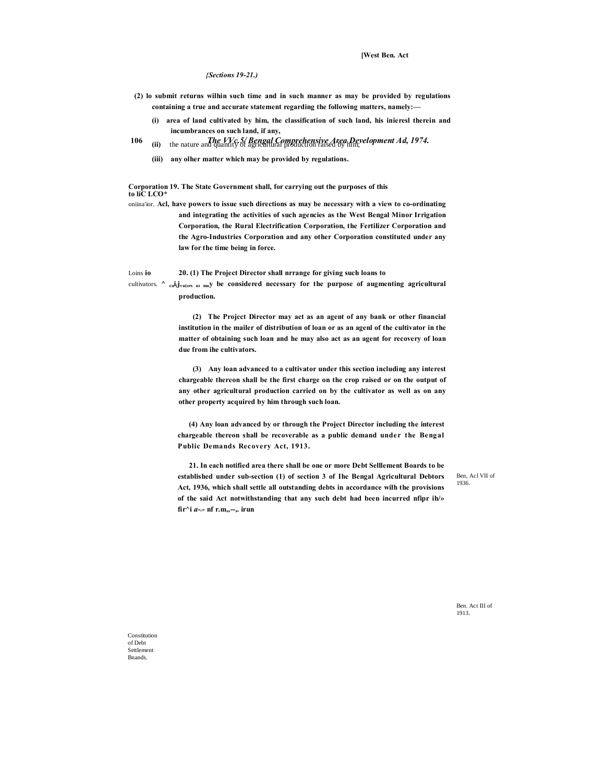**[West Ben. Act**

*{Sections 19-21.)*

- **(2) lo submit returns wilhin such time and in such manner as may be provided by regulations containing a true and accurate statement regarding the following matters, namely:—**
	- **(i) area of land cultivated by him, the classification of such land, his inieresl therein and incumbrances on such land, if any,**
- **106** *The VVc.5/ Bengal Comprehensive Area Development Ad, 1974.* **(ii)** the nature and quantity of agricultural production raised by him;
	- **(iii) any olher matter which may be provided by regulations.**

**Corporation 19. The State Government shall, for carrying out the purposes of this to liC LCO\***

oniina'ior. **Acl, have powers to issue such directions as may be necessary with a view to co-ordinating and integrating the activities of such agencies as the West Bengal Minor Irrigation Corporation, the Rural Electrification Corporation, the Fertilizer Corporation and the Agro-Industries Corporation and any other Corporation constituted under any law for the time being in force.**

Loins **io 20. (1) The Project Director shall nrrange for giving such loans to**

cultivators. **^ cui(jva(ors as may be considered necessary for the purpose of augmenting agricultural production.**

> **(2) The Projcct Director may act as an agent of any bank or other financial institution in the mailer of distribution of loan or as an agenl of the cultivator in the matter of obtaining such loan and he may also act as an agent for recovery of loan due from ihe cultivators.**

> **(3) Any loan advanced to a cultivator under this section including any interest chargeable thereon shall be the first charge on the crop raised or on the output of any other agricultural production carried on by the cultivator as well as on any other property acquired by him through such loan.**

> **(4) Any loan advanced by or through the Project Director including the interest chargeable thereon shall be recoverable as a public demand under the Bengal Public Demands Recovery Act, 1913.**

> **21. In each notified area there shall be one or more Debt Selllement Boards to be established under sub-section (1) of section 3 of Ihe Bengal Agricultural Debtors Act, 1936, which shall settle all outstanding debts in accordance wilh the provisions of the said Act notwithstanding that any such debt had been incurred nfipr ih/»**   $\int \mathbf{f} \cdot \mathbf{r} \cdot d\mathbf{r} = \int \mathbf{r} \cdot \mathbf{r} \cdot d\mathbf{r}$ , irun

Ben, Acl VII of 1936.

Ben. Act III of 1913.

Constitution of Debt **Settlement** Bnands.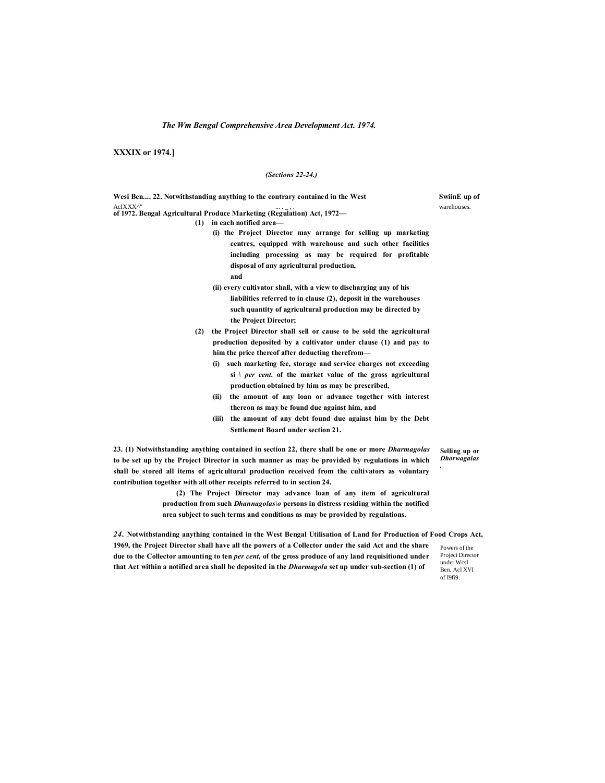**XXXIX or 1974.]**

#### *(Sections 22-24.)*

**Wesi Ben.... 22. Notwithstanding anything to the contrary contained in the West SwiinE up of** AclXXX<sup>^"</sup> ... . warehouses.<br> **of 1972. Bengal Agricultural Produce Marketing (Regulation) Act, 1972— (1) in each notified area— (i) the Project Director may arrange for selling up marketing centres, equipped with warehouse and such other facilities including processing as may be required for profitable disposal of any agricultural production,**

- **and**
- **(ii) every cultivator shall, with a view to discharging any of his liabilities referred to in clause (2), deposit in the warehouses such quantity of agricultural production may be directed by the Project Director;**
- **(2) the Project Director shall sell or cause to be sold the agricultural production deposited by a cultivator under clause (1) and pay to him the price thereof after deducting therefrom—**
	- **(i) such marketing fee, storage and service charges not exceeding si** *\ per cent.* **of the market value of the gross agricultural production obtained by him as may be prescribed,**
	- **(ii) the amount of any loan or advance together with interest thereon as may be found due against him, and**
	- **(iii) the amount of any debt found due against him by the Debt Settlement Board under section 21.**

**23. (1) Notwithstanding anything contained in section 22, there shall be one or more** *Dharmagolas* **to be set up by the Project Director in such manner as may be provided by regulations in which shall be stored all items of agricultural production received from the cultivators as voluntary contribution together with all other receipts referred to in section 24.**

**(2) The Project Director may advance loan of any item of agricultural production from such** *Dhannagolas\o* **persons in distress residing within the notified** 

**Selling up or**  *Dhorwagalas .*

**area subject to such terms and conditions as may be provided by regulations.** *24.* **Notwithstanding anything contained in the West Bengal Utilisation of Land for Production of Food Crops Act,** 

**1969, the Project Director shall have all the powers of a Collector under the said Act and the share due to the Collector amounting to ten** *per cent,* **of the gross produce of any land requisitioned under that Act within a notified area shall be deposited in the** *Dharmagola* **set up under sub-section (1) of**

Powers of the Projeci Director under Wcsl Ben. Acl XVI of I9fi9.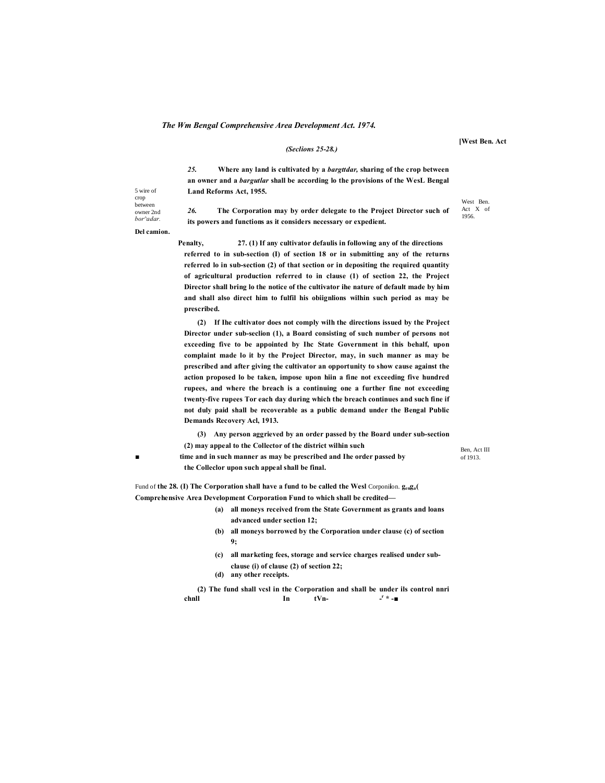#### *(Seclions 25-28.)*

*25.* **Where any land is cultivated by a** *bargttdar,* **sharing of the crop between an owner and a** *bargutlar* **shall be according lo the provisions of the WesL Bengal Land Reforms Act, 1955.**

*26.* **The Corporation may by order delegate to the Project Director such of its powers and functions as it considers necessary or expedient.**

**Del camion.**

**Penalty, 27. (1) If any cultivator defaulis in following any of the directions referred to in sub-section (I) of section 18 or in submitting any of the returns referred lo in sub-section (2) of that section or in depositing the required quantity of agricultural production referred to in clause (1) of section 22, the Project Director shall bring lo the notice of the cultivator ihe nature of default made by him and shall also direct him to fulfil his obiignlions wilhin such period as may be prescribed.**

**(2) If Ihe cultivator does not comply wilh the directions issued by the Project Director under sub-seclion (1), a Board consisting of such number of persons not exceeding five to be appointed by Ihc State Government in this behalf, upon complaint made lo it by the Project Director, may, in such manner as may be prescribed and after giving the cultivator an opportunity to show cause against the action proposed lo be taken, impose upon hiin a fine not exceeding five hundred rupees, and where the breach is a continuing one a further fine not exceeding twenty-five rupees Tor each day during which the breach continues and such fine if not duly paid shall be recoverable as a public demand under the Bengal Public Demands Recovery Acl, 1913.**

**(3) Any person aggrieved by an order passed by the Board under sub-section (2) may appeal to the Collector of the district wilhin such**

**■ time and in such manner as may be prescribed and Ihe order passed by the Colleclor upon such appeal shall be final.**

Fund of **the 28. (I) The Corporation shall have a fund to be called the Wesl** Corponi**i**on. **genga( Comprehensive Area Development Corporation Fund to which shall be credited—**

- **(a) all moneys received from the State Government as grants and loans advanced under section 12;**
- **(b) all moneys borrowed by the Corporation under clause (c) of section 9;**
- **(c) all marketing fees, storage and service charges realised under subclause (i) of clause (2) of section 22;**
- **(d) any other receipts.**

**(2) The fund shall vcsl in the Corporation and shall be under ils control nnri chnll In tVn- <sup>r</sup> \* -■**

Ben, Act III of 1913.

5 wire of crop between owner 2nd *bor^adar.*

**[West Ben. Act**

West Ben. Act X of 1956.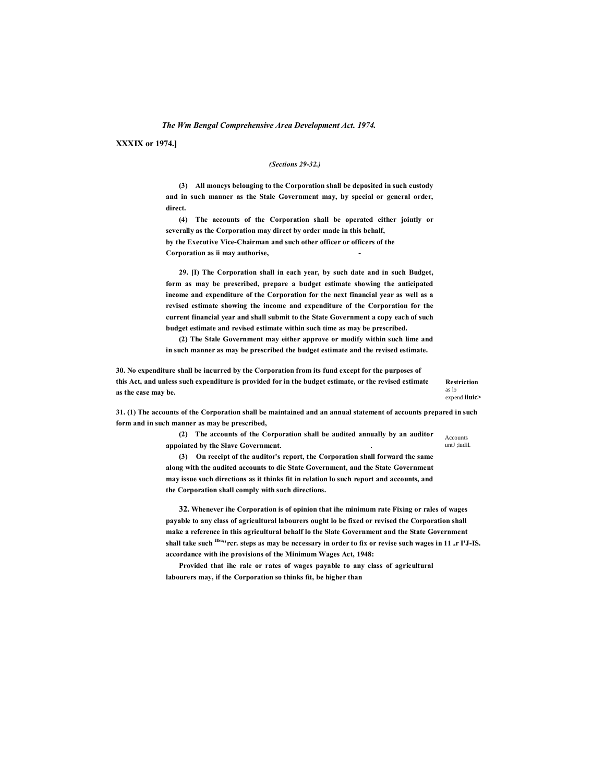**XXXIX or 1974.]**

#### *(Sections 29-32.)*

**(3) All moneys belonging to the Corporation shall be deposited in such custody and in such manner as the Stale Government may, by special or general order, direct.**

**(4) The accounts of the Corporation shall be operated either jointly or severally as the Corporation may direct by order made in this behalf, by the Executive Vice-Chairman and such other officer or officers of the Corporation as ii may authorise, -**

**29. [I) The Corporation shall in each year, by such date and in such Budget, form as may be prescribed, prepare a budget estimate showing the anticipated income and expenditure of the Corporation for the next financial year as well as a revised estimate showing the income and expenditure of the Corporation for the current financial year and shall submit to the State Government a copy each of such budget estimate and revised estimate within such time as may be prescribed.**

**(2) The Stale Government may either approve or modify within such lime and in such manner as may be prescribed the budget estimate and the revised estimate.**

**30. No expenditure shall be incurred by the Corporation from its fund except for the purposes of this Act, and unless such expenditure is provided for in the budget estimate, or the revised estimate as the case may be.**

**Restriction**  as lo expend **iiuic>**

**31. (1) The accounts of the Corporation shall be maintained and an annual statement of accounts prepared in such form and in such manner as may be prescribed,**

> **(2) The accounts of the Corporation shall be audited annually by an auditor appointed by the Slave Government. .**

Accounts untI :iudil.

**(3) On receipt of the auditor's report, the Corporation shall forward the same along with the audited accounts to die State Government, and the State Government may issue such directions as it thinks fit in relation lo such report and accounts, and the Corporation shall comply with such directions.**

**32. Whenever ihe Corporation is of opinion that ihe minimum rate Fixing or rales of wages payable to any class of agricultural labourers ought lo be fixed or revised the Corporation shall make a reference in this agricultural behalf lo the Slate Government and the State Government shall take such Ilbu"rcr. steps as may be nccessary in order to fix or revise such wages in 11 ar I'J-IS. accordance with ihe provisions of the Minimum Wages Act, 1948:**

**Provided that ihe rale or rates of wages payable to any class of agricultural labourers may, if the Corporation so thinks fit, be higher than**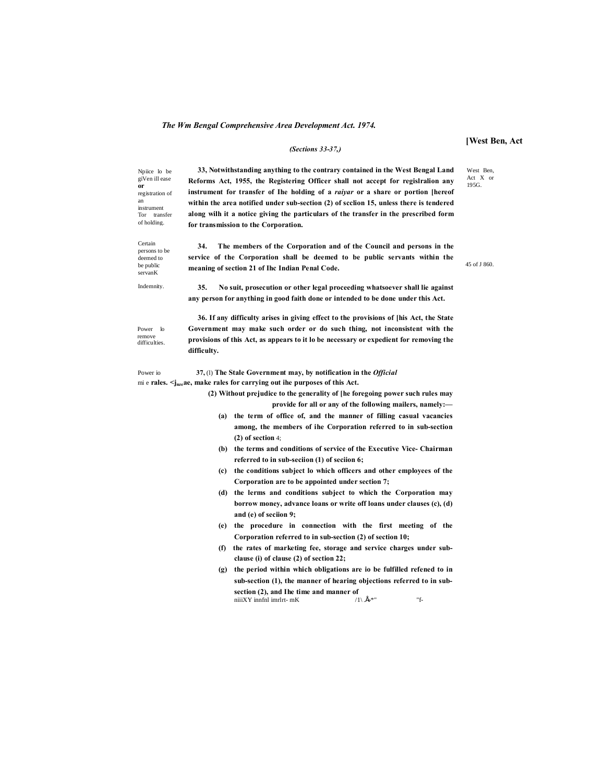**or**

an instrument

Certain

deemed to be public servanK

#### *(Sections 33-37,)*

#### **[West Ben, Act**

West Ben, Act X or 195G.

45 of J 860.

Npiice lo be giVen ill ease registration of Tor transfer of holding. **33, Notwithstanding anything to the contrary contained in the West Bengal Land Reforms Act, 1955, the Registering Officer shall not accept for regislralion any instrument for transfer of Ihe holding of a** *raiyar* **or a share or portion [hereof within the area notified under sub-section (2) of scclion 15, unless there is tendered along wilh it a notice giving the particulars of the transfer in the prescribed form for transmission to the Corporation.**

persons to be **34. The members of the Corporation and of the Council and persons in the service of the Corporation shall be deemed to be public servants within the meaning of section 21 of Ihc Indian Penal Code.**

Indemnity. **35. No suit, prosecution or other legal proceeding whatsoever shall lie against any person for anything in good faith done or intended to be done under this Act.**

Power lo remove difficulties. **36. If any difficulty arises in giving effect to the provisions of [his Act, the State Government may make such order or do such thing, not inconsistent with the provisions of this Act, as appears to it lo be necessary or expedient for removing the difficulty.**

Power io **37,** (l) **The Stale Government may, by notification in the** *Official* mi e **rales.**  $\leq$ j<sub>nze</sub> ae, make rales for carrying out ihe purposes of this Act.

> **(2) Without prejudice to the generality of [he foregoing power such rules may provide for all or any of the following mailers, namely:—**

- **(a) the term of office of, and the manner of filling casual vacancies among, the members of ihe Corporation referred to in sub-section (2) of section** 4;
- **(b) the terms and conditions of service of the Executive Vice- Chairman referred to in sub-seciion (1) of seciion 6;**
- **(c) the conditions subject lo which officers and other employees of the Corporation are to be appointed under section 7;**
- **(d) the lerms and conditions subject to which the Corporation may borrow money, advance loans or write off loans under clauses (c), (d) and (e) of seciion 9;**
- **(e) the procedure in connection with the first meeting of the Corporation referred to in sub-section (2) of section 10;**
- **(f) the rates of marketing fee, storage and service charges under subclause (i) of clause (2) of section 22;**
- **(g) the period within which obligations are io be fulfilled refened to in sub-section (1), the manner of hearing objections referred to in subsection (2), and Ihe time and manner of**  $\text{niiiXY}$  innful imrlit- mK niiiXY innfnl imrlrt- mK  $/1\backslash$  . $\acute{\bf B}^{*}$ " "f-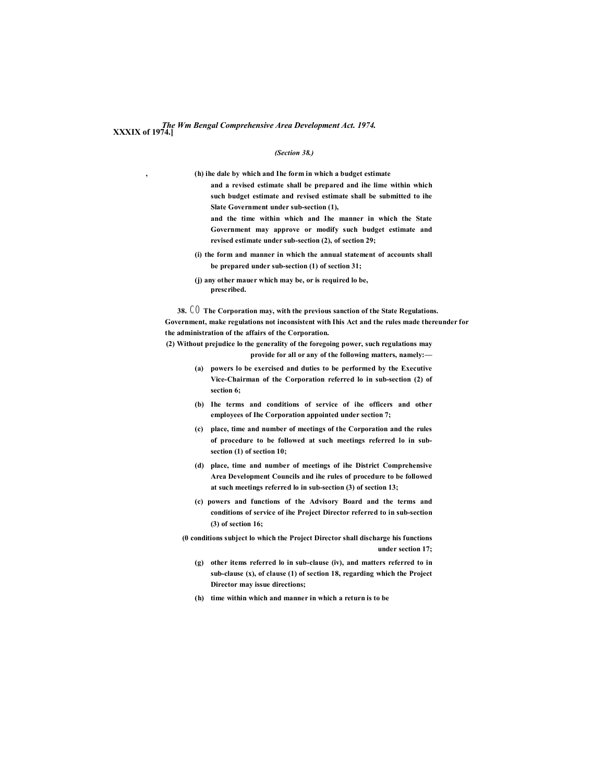# *The Wm Bengal Comprehensive Area Development Act. 1974.* **XXXIX of 1974.]**

#### *(Section 38.)*

**, (h) ihe dale by which and Ihe form in which a budget estimate**

- **and a revised estimate shall be prepared and ihe lime within which such budget estimate and revised estimate shall be submitted to ihe Slate Government under sub-section (1),**
- **and the time within which and Ihe manner in which the State Government may approve or modify such budget estimate and revised estimate under sub-section (2), of section 29;**
- **(i) the form and manner in which the annual statement of accounts shall be prepared under sub-section (1) of section 31;**
- **(j) any other mauer which may be, or is required lo be, prescribed.**

**38.** C O **The Corporation may, with the previous sanction of the State Regulations. Government, make regulations not inconsistent with Ihis Act and the rules made thereunder for the administration of the affairs of the Corporation.**

**(2) Without prejudice lo the generality of the foregoing power, such regulations may provide for all or any of the following matters, namely:—**

- **(a) powers lo be exercised and duties to be performed by the Executive Vice-Chairman of the Corporation referred lo in sub-section (2) of section 6;**
- **(b) Ihe terms and conditions of service of ihe officers and other employees of Ihe Corporation appointed under section 7;**
- **(c) place, time and number of meetings of the Corporation and the rules of procedure to be followed at such meetings referred lo in subsection (1) of section 10;**
- **(d) place, time and number of meetings of ihe District Comprehensive Area Development Councils and ihe rules of procedure to be followed at such meetings referred lo in sub-section (3) of section 13;**
- **(c) powers and functions of the Advisory Board and the terms and conditions of service of ihe Project Director referred to in sub-section (3) of section 16;**

**(0 conditions subject lo which the Project Director shall discharge his functions under section 17;**

- **(g) other items referred lo in sub-clause (iv), and matters referred to in sub-clause (x), of clause (1) of section 18, regarding which the Project Director may issue directions;**
- **(h) time within which and manner in which a return is to be**